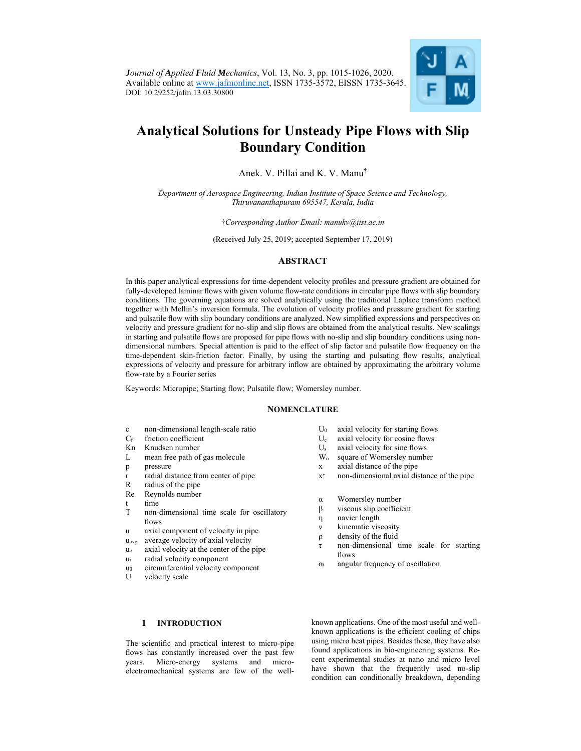

# **Analytical Solutions for Unsteady Pipe Flows with Slip Boundary Condition**

Anek. V. Pillai and K. V. Manu†

*Department of Aerospace Engineering, Indian Institute of Space Science and Technology, Thiruvananthapuram 695547, Kerala, India* 

†*Corresponding Author Email: manukv@iist.ac.in* 

(Received July 25, 2019; accepted September 17, 2019)

# **ABSTRACT**

In this paper analytical expressions for time-dependent velocity profiles and pressure gradient are obtained for fully-developed laminar flows with given volume flow-rate conditions in circular pipe flows with slip boundary conditions. The governing equations are solved analytically using the traditional Laplace transform method together with Mellin's inversion formula. The evolution of velocity profiles and pressure gradient for starting and pulsatile flow with slip boundary conditions are analyzed. New simplified expressions and perspectives on velocity and pressure gradient for no-slip and slip flows are obtained from the analytical results. New scalings in starting and pulsatile flows are proposed for pipe flows with no-slip and slip boundary conditions using nondimensional numbers. Special attention is paid to the effect of slip factor and pulsatile flow frequency on the time-dependent skin-friction factor. Finally, by using the starting and pulsating flow results, analytical expressions of velocity and pressure for arbitrary inflow are obtained by approximating the arbitrary volume flow-rate by a Fourier series

Keywords: Micropipe; Starting flow; Pulsatile flow; Womersley number.

## **NOMENCLATURE**

- c non-dimensional length-scale ratio
- Cf friction coefficient
- Kn Knudsen number
- L mean free path of gas molecule
- p pressure
- r radial distance from center of pipe
- R radius of the pipe
- Re Reynolds number
- t time
- T non-dimensional time scale for oscillatory flows
- u axial component of velocity in pipe
- uavg average velocity of axial velocity
- uc axial velocity at the center of the pipe
- ur radial velocity component
- u<sub>θ</sub> circumferential velocity component
- U velocity scale

# U0 axial velocity for starting flows

- Uc axial velocity for cosine flows
- $U_s$  axial velocity for sine flows<br>W<sub>o</sub> square of Womersley number
- square of Womersley number x axial distance of the pipe
- x∗ non-dimensional axial distance of the pipe
- 
- α Womersley number
- β viscous slip coefficient
- η navier length
- ν kinematic viscosity
- ρ density of the fluid
- τ non-dimensional time scale for starting flows
- ω angular frequency of oscillation

**1 INTRODUCTION**

The scientific and practical interest to micro-pipe flows has constantly increased over the past few years. Micro-energy systems and microelectromechanical systems are few of the wellknown applications. One of the most useful and wellknown applications is the efficient cooling of chips using micro heat pipes. Besides these, they have also found applications in bio-engineering systems. Recent experimental studies at nano and micro level have shown that the frequently used no-slip condition can conditionally breakdown, depending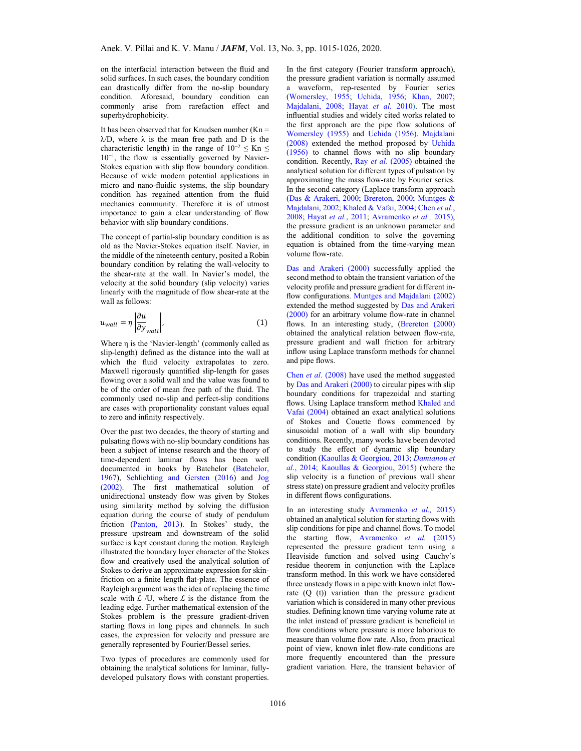on the interfacial interaction between the fluid and solid surfaces. In such cases, the boundary condition can drastically differ from the no-slip boundary condition. Aforesaid, boundary condition can commonly arise from rarefaction effect and superhydrophobicity.

It has been observed that for Knudsen number  $(Kn =$  $\lambda$ D, where  $\lambda$  is the mean free path and D is the characteristic length) in the range of  $10^{-2} \leq Kn \leq$ 10−1, the flow is essentially governed by Navier-Stokes equation with slip flow boundary condition. Because of wide modern potential applications in micro and nano-fluidic systems, the slip boundary condition has regained attention from the fluid mechanics community. Therefore it is of utmost importance to gain a clear understanding of flow behavior with slip boundary conditions.

The concept of partial-slip boundary condition is as old as the Navier-Stokes equation itself. Navier, in the middle of the nineteenth century, posited a Robin boundary condition by relating the wall-velocity to the shear-rate at the wall. In Navier's model, the velocity at the solid boundary (slip velocity) varies linearly with the magnitude of flow shear-rate at the wall as follows:

$$
u_{wall} = \eta \left| \frac{\partial u}{\partial y_{wall}} \right|,\tag{1}
$$

Where η is the 'Navier-length' (commonly called as slip-length) defined as the distance into the wall at which the fluid velocity extrapolates to zero. Maxwell rigorously quantified slip-length for gases flowing over a solid wall and the value was found to be of the order of mean free path of the fluid. The commonly used no-slip and perfect-slip conditions are cases with proportionality constant values equal to zero and infinity respectively.

Over the past two decades, the theory of starting and pulsating flows with no-slip boundary conditions has been a subject of intense research and the theory of time-dependent laminar flows has been well documented in books by Batchelor (Batchelor, 1967), Schlichting and Gersten (2016) and Jog (2002). The first mathematical solution of unidirectional unsteady flow was given by Stokes using similarity method by solving the diffusion equation during the course of study of pendulum friction (Panton, 2013). In Stokes' study, the pressure upstream and downstream of the solid surface is kept constant during the motion. Rayleigh illustrated the boundary layer character of the Stokes flow and creatively used the analytical solution of Stokes to derive an approximate expression for skinfriction on a finite length flat-plate. The essence of Rayleigh argument was the idea of replacing the time scale with  $\mathcal{L}$  /U, where  $\mathcal{L}$  is the distance from the leading edge. Further mathematical extension of the Stokes problem is the pressure gradient-driven starting flows in long pipes and channels. In such cases, the expression for velocity and pressure are generally represented by Fourier/Bessel series.

Two types of procedures are commonly used for obtaining the analytical solutions for laminar, fullydeveloped pulsatory flows with constant properties. In the first category (Fourier transform approach), the pressure gradient variation is normally assumed a waveform, rep-resented by Fourier series (Womersley, 1955; Uchida, 1956; Khan, 2007; Majdalani, 2008; Hayat *et al.* 2010). The most influential studies and widely cited works related to the first approach are the pipe flow solutions of Womersley (1955) and Uchida (1956). Majdalani (2008) extended the method proposed by Uchida (1956) to channel flows with no slip boundary condition. Recently, Ray *et al.* (2005) obtained the analytical solution for different types of pulsation by approximating the mass flow-rate by Fourier series. In the second category (Laplace transform approach (Das & Arakeri, 2000; Brereton, 2000; Muntges & Majdalani, 2002; Khaled & Vafai, 2004; Chen *et al*., 2008; Hayat *et al.*, 2011; Avramenko *et al.,* 2015), the pressure gradient is an unknown parameter and the additional condition to solve the governing equation is obtained from the time-varying mean volume flow-rate.

Das and Arakeri (2000) successfully applied the second method to obtain the transient variation of the velocity profile and pressure gradient for different inflow configurations. Muntges and Majdalani (2002) extended the method suggested by Das and Arakeri (2000) for an arbitrary volume flow-rate in channel flows. In an interesting study, (Brereton (2000) obtained the analytical relation between flow-rate, pressure gradient and wall friction for arbitrary inflow using Laplace transform methods for channel and pipe flows.

Chen *et al*. (2008) have used the method suggested by Das and Arakeri (2000) to circular pipes with slip boundary conditions for trapezoidal and starting flows. Using Laplace transform method Khaled and Vafai (2004) obtained an exact analytical solutions of Stokes and Couette flows commenced by sinusoidal motion of a wall with slip boundary conditions. Recently, many works have been devoted to study the effect of dynamic slip boundary condition (Kaoullas & Georgiou, 2013; *Damianou et al*., 2014; Kaoullas & Georgiou, 2015) (where the slip velocity is a function of previous wall shear stress state) on pressure gradient and velocity profiles in different flows configurations.

In an interesting study Avramenko *et al.,* 2015) obtained an analytical solution for starting flows with slip conditions for pipe and channel flows. To model the starting flow, Avramenko *et al.* (2015) represented the pressure gradient term using a Heaviside function and solved using Cauchy's residue theorem in conjunction with the Laplace transform method. In this work we have considered three unsteady flows in a pipe with known inlet flowrate (Q (t)) variation than the pressure gradient variation which is considered in many other previous studies. Defining known time varying volume rate at the inlet instead of pressure gradient is beneficial in flow conditions where pressure is more laborious to measure than volume flow rate. Also, from practical point of view, known inlet flow-rate conditions are more frequently encountered than the pressure gradient variation. Here, the transient behavior of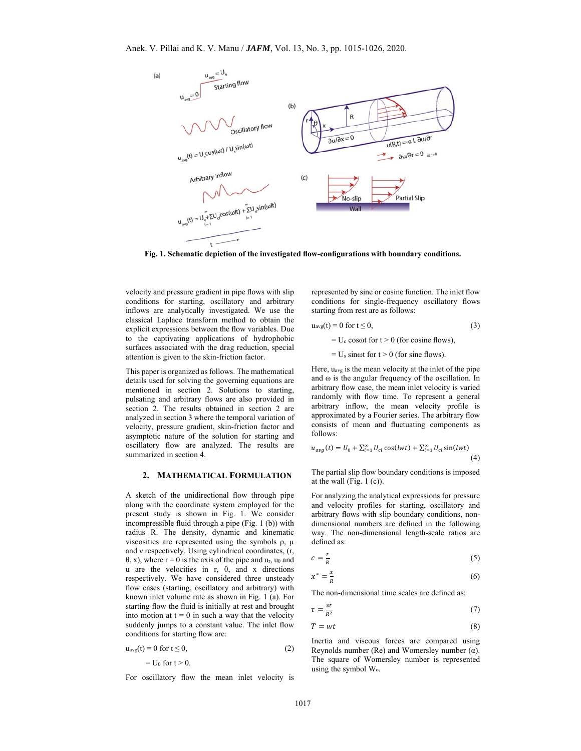

**Fig. 1. Schematic depiction of the investigated flow-configurations with boundary conditions.** 

velocity and pressure gradient in pipe flows with slip conditions for starting, oscillatory and arbitrary inflows are analytically investigated. We use the classical Laplace transform method to obtain the explicit expressions between the flow variables. Due to the captivating applications of hydrophobic surfaces associated with the drag reduction, special attention is given to the skin-friction factor.

This paper is organized as follows. The mathematical details used for solving the governing equations are mentioned in section 2. Solutions to starting, pulsating and arbitrary flows are also provided in section 2. The results obtained in section 2 are analyzed in section 3 where the temporal variation of velocity, pressure gradient, skin-friction factor and asymptotic nature of the solution for starting and oscillatory flow are analyzed. The results are summarized in section 4.

#### **2. MATHEMATICAL FORMULATION**

A sketch of the unidirectional flow through pipe along with the coordinate system employed for the present study is shown in Fig. 1. We consider incompressible fluid through a pipe (Fig. 1 (b)) with radius R. The density, dynamic and kinematic viscosities are represented using the symbols  $ρ$ ,  $μ$ and ν respectively. Using cylindrical coordinates, (r,  $θ$ , x), where r = 0 is the axis of the pipe and u<sub>r</sub>, u<sub>θ</sub> and u are the velocities in r, θ, and x directions respectively. We have considered three unsteady flow cases (starting, oscillatory and arbitrary) with known inlet volume rate as shown in Fig. 1 (a). For starting flow the fluid is initially at rest and brought into motion at  $t = 0$  in such a way that the velocity suddenly jumps to a constant value. The inlet flow conditions for starting flow are:

$$
u_{avg}(t) = 0 \text{ for } t \le 0,
$$
  
= U<sub>0</sub> for  $t > 0$ . (2)

For oscillatory flow the mean inlet velocity is

represented by sine or cosine function. The inlet flow conditions for single-frequency oscillatory flows starting from rest are as follows:

$$
u_{avg}(t) = 0 \text{ for } t \le 0,
$$
\n
$$
= U_c \cos \omega t \text{ for } t > 0 \text{ (for cosine flows)},
$$
\n(3)

 $= U_s$  sinot for  $t > 0$  (for sine flows).

Here, uavg is the mean velocity at the inlet of the pipe and  $\omega$  is the angular frequency of the oscillation. In arbitrary flow case, the mean inlet velocity is varied randomly with flow time. To represent a general arbitrary inflow, the mean velocity profile is approximated by a Fourier series. The arbitrary flow consists of mean and fluctuating components as follows:

$$
u_{avg}(t) = U_0 + \sum_{l=1}^{\infty} U_{cl} \cos(lwt) + \sum_{l=1}^{\infty} U_{cl} \sin(lwt)
$$
\n(4)

The partial slip flow boundary conditions is imposed at the wall (Fig.  $1$  (c)).

For analyzing the analytical expressions for pressure and velocity profiles for starting, oscillatory and arbitrary flows with slip boundary conditions, nondimensional numbers are defined in the following way. The non-dimensional length-scale ratios are defined as:

$$
c = \frac{r}{R} \tag{5}
$$

$$
x^* = \frac{x}{R} \tag{6}
$$

The non-dimensional time scales are defined as:

$$
\tau = \frac{vt}{R^2} \tag{7}
$$

$$
T = wt \tag{8}
$$

Inertia and viscous forces are compared using Reynolds number (Re) and Womersley number  $(\alpha)$ . The square of Womersley number is represented using the symbol Wo.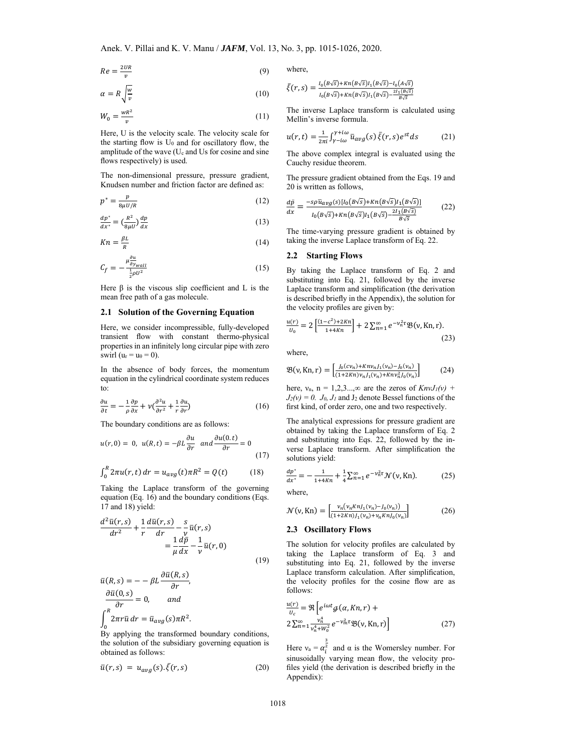$$
Re = \frac{2UR}{v} \tag{9}
$$

$$
\alpha = R \sqrt{\frac{w}{v}} \tag{10}
$$

$$
W_0 = \frac{wR^2}{v} \tag{11}
$$

Here, U is the velocity scale. The velocity scale for the starting flow is  $U_0$  and for oscillatory flow, the amplitude of the wave (Uc and Us for cosine and sine flows respectively) is used.

The non-dimensional pressure, pressure gradient, Knudsen number and friction factor are defined as:

$$
p^* = \frac{p}{8\mu U/R} \tag{12}
$$

$$
\frac{dp^*}{dx^*} = \left(\frac{R^2}{8\mu U}\right)\frac{dp}{dx} \tag{13}
$$

$$
Kn = \frac{\beta L}{R} \tag{14}
$$

$$
C_f = -\frac{\mu_{\partial y_{wall}}^{\partial u}}{\frac{1}{2}\rho U^2} \tag{15}
$$

Here  $β$  is the viscous slip coefficient and L is the mean free path of a gas molecule.

#### **2.1 Solution of the Governing Equation**

Here, we consider incompressible, fully-developed transient flow with constant thermo-physical properties in an infinitely long circular pipe with zero swirl ( $u_r = u_\theta = 0$ ).

In the absence of body forces, the momentum equation in the cylindrical coordinate system reduces to:

$$
\frac{\partial u}{\partial t} = -\frac{1}{\rho} \frac{\partial p}{\partial x} + \nu \left( \frac{\partial^2 u}{\partial r^2} + \frac{1}{r} \frac{\partial u}{\partial r} \right) \tag{16}
$$

The boundary conditions are as follows:

$$
u(r,0) = 0, \ u(R,t) = -\beta L \frac{\partial u}{\partial r} \ and \frac{\partial u(0,t)}{\partial r} = 0
$$
 (17)

$$
\int_0^R 2\pi u(r, t) \, dr = u_{avg}(t) \pi R^2 = Q(t) \tag{18}
$$

Taking the Laplace transform of the governing equation (Eq. 16) and the boundary conditions (Eqs. 17 and 18) yield:

$$
\frac{d^2\bar{u}(r,s)}{dr^2} + \frac{1}{r}\frac{d\bar{u}(r,s)}{dr} - \frac{s}{v}\bar{u}(r,s)
$$

$$
= \frac{1}{\mu}\frac{d\bar{p}}{dx} - \frac{1}{v}\bar{u}(r,0)
$$
(19)

$$
\bar{u}(R,s) = -\beta L \frac{\partial \bar{u}(R,s)}{\partial r},
$$
  
\n
$$
\frac{\partial \bar{u}(0,s)}{\partial r} = 0, \quad \text{and}
$$
  
\n
$$
\int_0^R 2\pi r \bar{u} dr = \bar{u}_{avg}(s) \pi R^2.
$$

 $B_y$  applying the transformed boundary conditions, the solution of the subsidiary governing equation is obtained as follows:

$$
\bar{u}(r,s) = u_{avg}(s). \bar{\xi}(r,s)
$$
 (20)

where,

$$
\bar{\xi}(r,s) = \frac{I_0(B\sqrt{s}) + Kn(B\sqrt{s})I_1(B\sqrt{s}) - I_0(A\sqrt{s})}{I_0(B\sqrt{s}) + Kn(B\sqrt{s})I_1(B\sqrt{s}) - \frac{2I_1(B\sqrt{s})}{B\sqrt{s}}}
$$

The inverse Laplace transform is calculated using Mellin's inverse formula.

$$
u(r,t) = \frac{1}{2\pi i} \int_{\gamma - i\omega}^{\gamma + i\omega} \bar{u}_{avg}(s) \,\bar{\xi}(r,s) e^{st} ds \tag{21}
$$

The above complex integral is evaluated using the Cauchy residue theorem.

The pressure gradient obtained from the Eqs. 19 and 20 is written as follows,

$$
\frac{d\bar{p}}{dx} = \frac{-s\rho\bar{u}_{avg}(s)[l_0(B\sqrt{s}) + Kn(B\sqrt{s})l_1(B\sqrt{s})]}{l_0(B\sqrt{s}) + Kn(B\sqrt{s})l_1(B\sqrt{s}) - \frac{2l_1(B\sqrt{s})}{B\sqrt{s}}}
$$
(22)

The time-varying pressure gradient is obtained by taking the inverse Laplace transform of Eq. 22.

## **2.2 Starting Flows**

By taking the Laplace transform of Eq. 2 and substituting into Eq. 21, followed by the inverse Laplace transform and simplification (the derivation is described briefly in the Appendix), the solution for the velocity profiles are given by:

$$
\frac{u(r)}{u_0} = 2\left[\frac{(1-c^2)+2Kn}{1+4Kn}\right] + 2\sum_{n=1}^{\infty} e^{-\nu_n^2 \tau} \mathfrak{B}(\nu, Kn, r).
$$
\n(23)

where,

$$
\mathfrak{B}(\nu, Kn, r) = \begin{bmatrix} \frac{J_0(cv_n) + Kn\nu_n J_1(v_n) - J_0(v_n)}{(1 + 2Kn)\nu_n J_1(v_n) + Kn\nu_n^2 J_0(v_n)} \end{bmatrix}
$$
(24)

here,  $v_n$ ,  $n = 1,2,3...$ , $\infty$  are the zeros of  $KnvJ_1(v)$  +  $J_2(v) = 0$ .  $J_0$ ,  $J_1$  and  $J_2$  denote Bessel functions of the first kind, of order zero, one and two respectively.

The analytical expressions for pressure gradient are obtained by taking the Laplace transform of Eq. 2 and substituting into Eqs. 22, followed by the inverse Laplace transform. After simplification the solutions yield:

$$
\frac{dp^*}{dx^*} = -\frac{1}{1+4Kn} + \frac{1}{4}\sum_{n=1}^{\infty} e^{-\nu_n^2 \tau} \mathcal{N}(\nu, Kn). \tag{25}
$$

where,

$$
\mathcal{N}(\nu, Kn) = \left[ \frac{\nu_n(\nu_n \kappa n J_1(\nu_n) - J_0(\nu_n))}{(1 + 2\kappa n) J_1(\nu_n) + \nu_n \kappa n J_0(\nu_n)} \right] \tag{26}
$$

## **2.3 Oscillatory Flows**

The solution for velocity profiles are calculated by taking the Laplace transform of Eq. 3 and substituting into Eq. 21, followed by the inverse Laplace transform calculation. After simplification, the velocity profiles for the cosine flow are as follows:

$$
\frac{u(r)}{v_c} = \Re \left[ e^{i\omega t} g(\alpha, Kn, r) + 2 \sum_{n=1}^{\infty} \frac{v_n^4}{v_n^4 + W_0^2} e^{-v_m^2 \tau} \Re(v, Kn, r) \right]
$$
\n(27)

Here  $v_a = \alpha_i^{\frac{3}{2}}$  and  $\alpha$  is the Womersley number. For sinusoidally varying mean flow, the velocity profiles yield (the derivation is described briefly in the Appendix):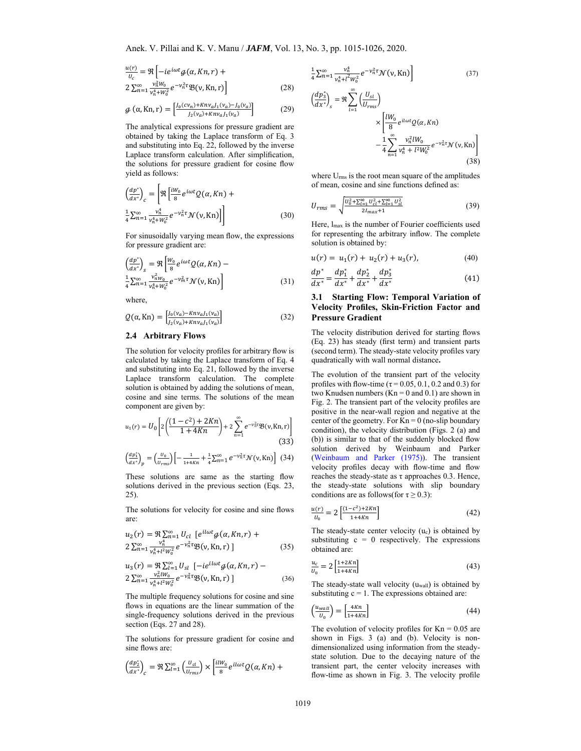$$
\frac{u(r)}{u_c} = \Re \left[ -ie^{i\omega t} g(\alpha, Kn, r) + 2 \sum_{n=1}^{\infty} \frac{v_n^2 w_0}{v_n^4 + w_0^2} e^{-v_n^2 \tau} \mathfrak{B}(v, Kn, r) \right]
$$
(28)

$$
\mathcal{G}(\alpha, Kn, r) = \left[\frac{J_0(cv_n) + Knv_a J_1(v_a) - J_0(v_a)}{J_2(v_a) + Knv_a J_1(v_a)}\right]
$$
(29)

The analytical expressions for pressure gradient are obtained by taking the Laplace transform of Eq. 3 and substituting into Eq. 22, followed by the inverse Laplace transform calculation. After simplification, the solutions for pressure gradient for cosine flow yield as follows:

$$
\left(\frac{dp^*}{dx^*}\right)_c = \left[\Re\left[\frac{iW_0}{8}e^{i\omega t}Q(\alpha, Kn) + \frac{v_n^*}{4}\sum_{n=1}^{\infty}\frac{v_n^*}{v_n^*+W_0^2}e^{-v_n^2\tau}\mathcal{N}(\nu, Kn)\right]\right]
$$
\n(30)

For sinusoidally varying mean flow, the expressions for pressure gradient are:

$$
\left(\frac{dp^*}{dx^*}\right)_s = \Re \left[\frac{w_0}{8} e^{i\omega t} Q(\alpha, Kn) - \frac{1}{4} \sum_{n=1}^{\infty} \frac{v_n^2 w_0}{v_n^4 + w_0^2} e^{-v_m^2 \tau} \mathcal{N}(\nu, Kn) \right]
$$
\n(31)

where,

$$
Q(\alpha, Kn) = \left[ \frac{J_0(\nu_a) - kn\nu_a J_1(\nu_a)}{J_2(\nu_a) + kn\nu_a J_1(\nu_a)} \right]
$$
(32)

## **2.4 Arbitrary Flows**

The solution for velocity profiles for arbitrary flow is calculated by taking the Laplace transform of Eq. 4 and substituting into Eq. 21, followed by the inverse Laplace transform calculation. The complete solution is obtained by adding the solutions of mean, cosine and sine terms. The solutions of the mean component are given by:

$$
u_1(r) = U_0 \left[ 2 \left( \frac{(1 - c^2) + 2Kn}{1 + 4Kn} \right) + 2 \sum_{n=1}^{\infty} e^{-\nu_n^2 \tau} \mathfrak{B}(\nu, Kn, r) \right]
$$
(33)

$$
\left(\frac{dp_1^*}{dx^*}\right)_p = \left(\frac{u_0}{u_{rms}}\right) \left[ -\frac{1}{1+4Kn} + \frac{1}{4} \sum_{n=1}^{\infty} e^{-\nu_n^2 \tau} \mathcal{N}(\nu, Kn) \right] (34)
$$

These solutions are same as the starting flow solutions derived in the previous section (Eqs. 23, 25).

The solutions for velocity for cosine and sine flows are:

$$
u_2(r) = \Re \sum_{n=1}^{\infty} U_{cl} \left[ e^{il\omega t} \mathcal{G}(\alpha, Kn, r) + 2 \sum_{n=1}^{\infty} \frac{v_n^4}{v_n^4 + l^2 W_0^2} e^{-v_n^2 \tau} \mathfrak{B}(v, Kn, r) \right]
$$
(35)

$$
u_3(r) = \Re \sum_{l=1}^{\infty} U_{sl} \left[ -ie^{il\omega t} g(\alpha, Kn, r) - 2 \sum_{n=1}^{\infty} \frac{v_n^2 l W_0}{v_n^4 + l^2 W_0^2} e^{-v_n^2 \tau} \mathfrak{B}(v, Kn, r) \right]
$$
(36)

The multiple frequency solutions for cosine and sine flows in equations are the linear summation of the single-frequency solutions derived in the previous section (Eqs. 27 and 28).

The solutions for pressure gradient for cosine and sine flows are:

$$
\left(\frac{dp_2^*}{dx^*}\right)_c = \Re \sum_{l=1}^{\infty} \left(\frac{U_{cl}}{U_{rms}}\right) \times \left[\frac{i l W_0}{8} e^{i l \omega t} Q(\alpha, K n) + \right.
$$

$$
\frac{1}{4}\sum_{n=1}^{\infty} \frac{v_n^4}{v_n^4 + l^2 w_0^2} e^{-v_n^2 \tau} \mathcal{N}(\nu, \text{Kn})\n\Bigg]
$$
\n
$$
\left(\frac{dp_3^*}{dx^*}\right)_s = \Re \sum_{l=1}^{\infty} \left(\frac{U_{sl}}{U_{rms}}\right)\n\times\n\left[\frac{lW_0}{8} e^{il\omega t} \mathcal{Q}(\alpha, \text{Kn})\n- \frac{1}{4} \sum_{n=1}^{\infty} \frac{v_n^2 lW_0}{v_n^4 + l^2 W_0^2} e^{-v_n^2 \tau} \mathcal{N}(\nu, \text{Kn})\right]
$$
\n(38)

where Urms is the root mean square of the amplitudes of mean, cosine and sine functions defined as:

$$
U_{rms} = \sqrt{\frac{U_0^2 + \sum_{l=1}^{\infty} U_{cl}^2 + \sum_{l=1}^{\infty} U_{sl}^2}{2I_{max} + 1}}
$$
(39)

Here, lmax is the number of Fourier coefficients used for representing the arbitrary inflow. The complete solution is obtained by:

$$
u(r) = u_1(r) + u_2(r) + u_3(r), \tag{40}
$$

$$
\frac{dp^*}{dx^*} = \frac{dp_1^*}{dx^*} + \frac{dp_2^*}{dx^*} + \frac{dp_3^*}{dx^*}
$$
\n(41)

## **3.1 Starting Flow: Temporal Variation of Velocity Profiles, Skin-Friction Factor and Pressure Gradient**

The velocity distribution derived for starting flows (Eq. 23) has steady (first term) and transient parts (second term). The steady-state velocity profiles vary quadratically with wall normal distance**.** 

The evolution of the transient part of the velocity profiles with flow-time ( $\tau$  = 0.05, 0.1, 0.2 and 0.3) for two Knudsen numbers  $(Kn = 0$  and  $(0.1)$  are shown in Fig. 2. The transient part of the velocity profiles are positive in the near-wall region and negative at the center of the geometry. For  $Kn = 0$  (no-slip boundary condition), the velocity distribution (Figs. 2 (a) and (b)) is similar to that of the suddenly blocked flow solution derived by Weinbaum and Parker (Weinbaum and Parker (1975)). The transient velocity profiles decay with flow-time and flow reaches the steady-state as τ approaches 0.3. Hence, the steady-state solutions with slip boundary conditions are as follows(for  $\tau \geq 0.3$ ):

$$
\frac{u(r)}{U_0} = 2\left[\frac{(1-c^2)+2Kn}{1+4Kn}\right]
$$
\n(42)

The steady-state center velocity (uc) is obtained by substituting  $c = 0$  respectively. The expressions obtained are:

$$
\frac{u_c}{U_0} = 2\left[\frac{1+2Kn}{1+4Kn}\right] \tag{43}
$$

The steady-state wall velocity (uwall) is obtained by substituting  $c = 1$ . The expressions obtained are:

$$
\left(\frac{u_{wall}}{U_0}\right) = \left[\frac{4Kn}{1 + 4Kn}\right] \tag{44}
$$

The evolution of velocity profiles for  $Kn = 0.05$  are shown in Figs. 3 (a) and (b). Velocity is nondimensionalized using information from the steadystate solution. Due to the decaying nature of the transient part, the center velocity increases with flow-time as shown in Fig. 3. The velocity profile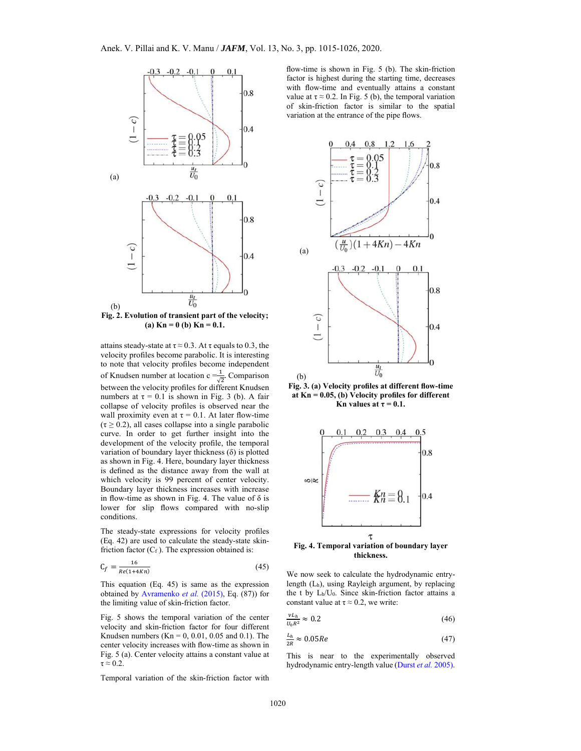

**(a) Kn = 0 (b) Kn = 0.1.** 

attains steady-state at  $\tau \approx 0.3$ . At  $\tau$  equals to 0.3, the velocity profiles become parabolic. It is interesting to note that velocity profiles become independent of Knudsen number at location c = $\frac{1}{\sqrt{2}}$ . Comparison between the velocity profiles for different Knudsen numbers at  $\tau = 0.1$  is shown in Fig. 3 (b). A fair collapse of velocity profiles is observed near the wall proximity even at  $\tau = 0.1$ . At later flow-time  $(\tau \geq 0.2)$ , all cases collapse into a single parabolic curve. In order to get further insight into the development of the velocity profile, the temporal variation of boundary layer thickness (δ) is plotted as shown in Fig. 4. Here, boundary layer thickness is defined as the distance away from the wall at which velocity is 99 percent of center velocity. Boundary layer thickness increases with increase in flow-time as shown in Fig. 4. The value of  $\delta$  is lower for slip flows compared with no-slip conditions.

The steady-state expressions for velocity profiles (Eq. 42) are used to calculate the steady-state skinfriction factor  $(C_f)$ . The expression obtained is:

$$
C_f = \frac{16}{Re(1+4Kn)}\tag{45}
$$

This equation (Eq. 45) is same as the expression obtained by Avramenko *et al.* (2015), Eq. (87)) for the limiting value of skin-friction factor.

Fig. 5 shows the temporal variation of the center velocity and skin-friction factor for four different Knudsen numbers (Kn =  $0, 0.01, 0.05$  and 0.1). The center velocity increases with flow-time as shown in Fig. 5 (a). Center velocity attains a constant value at  $\tau \approx 0.2$ .

Temporal variation of the skin-friction factor with

flow-time is shown in Fig. 5 (b). The skin-friction factor is highest during the starting time, decreases with flow-time and eventually attains a constant value at  $\tau \approx 0.2$ . In Fig. 5 (b), the temporal variation of skin-friction factor is similar to the spatial variation at the entrance of the pipe flows.



**Fig. 3. (a) Velocity profiles at different flow-time at Kn = 0.05, (b) Velocity profiles for different Kn** values at  $\tau = 0.1$ .



**Fig. 4. Temporal variation of boundary layer thickness.** 

We now seek to calculate the hydrodynamic entrylength (Lh), using Rayleigh argument, by replacing the t by Lh/U0. Since skin-friction factor attains a constant value at  $\tau \approx 0.2$ , we write:

$$
\frac{v_{L_h}}{v_o R^2} \approx 0.2\tag{46}
$$

$$
\frac{L_h}{2R} \approx 0.05Re\tag{47}
$$

This is near to the experimentally observed hydrodynamic entry-length value (Durst *et al.* 2005).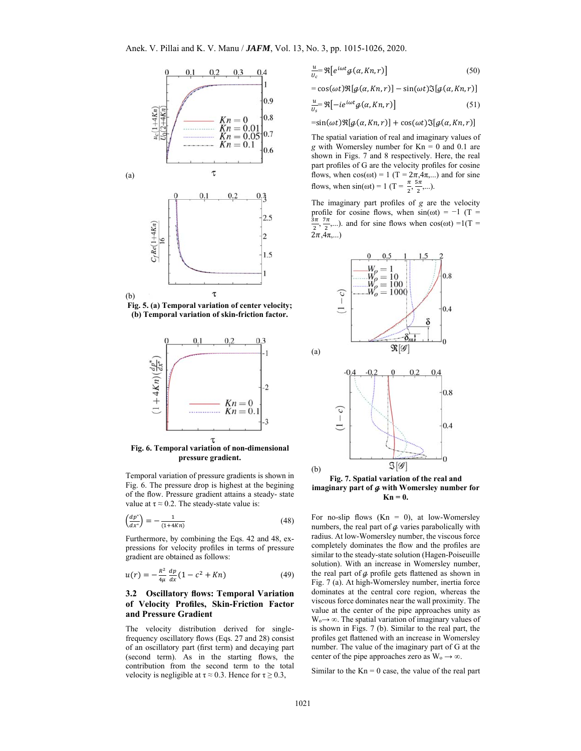

**Fig. 5. (a) Temporal variation of center velocity; (b) Temporal variation of skin-friction factor.** 



**Fig. 6. Temporal variation of non-dimensional pressure gradient.** 

Temporal variation of pressure gradients is shown in Fig. 6. The pressure drop is highest at the begining of the flow. Pressure gradient attains a steady- state value at  $\tau \approx 0.2$ . The steady-state value is:

$$
\left(\frac{dp^*}{dx^*}\right) = -\frac{1}{(1+4Kn)}\tag{48}
$$

Furthermore, by combining the Eqs. 42 and 48, expressions for velocity profiles in terms of pressure gradient are obtained as follows:

$$
u(r) = -\frac{R^2}{4\mu} \frac{dp}{dx} (1 - c^2 + Kn)
$$
 (49)

## **3.2 Oscillatory flows: Temporal Variation of Velocity Profiles, Skin-Friction Factor and Pressure Gradient**

The velocity distribution derived for singlefrequency oscillatory flows (Eqs. 27 and 28) consist of an oscillatory part (first term) and decaying part (second term). As in the starting flows, the contribution from the second term to the total velocity is negligible at  $\tau \approx 0.3$ . Hence for  $\tau \ge 0.3$ ,

$$
\frac{u}{v_c} = \Re\left[e^{i\omega t}\mathcal{G}(\alpha, Kn, r)\right] \tag{50}
$$

 $= cos(\omega t) \Re[g(\alpha, Kn, r)] - sin(\omega t) \Im[g(\alpha, Kn, r)]$ 

$$
\frac{u}{v_s} \Re \left[ -ie^{i\omega t} \mathcal{G}(\alpha, Kn, r) \right] \tag{51}
$$

 $\tau = \sin(\omega t) \Re[q(\alpha, Kn, r)] + \cos(\omega t) \Im[q(\alpha, Kn, r)]$ 

The spatial variation of real and imaginary values of  $g$  with Womersley number for  $Kn = 0$  and 0.1 are shown in Figs. 7 and 8 respectively. Here, the real part profiles of G are the velocity profiles for cosine flows, when  $cos(\omega t) = 1$  (T =  $2\pi, 4\pi, ...$ ) and for sine flows, when  $\sin(\omega t) = 1$  (T =  $\frac{\pi}{2}, \frac{5\pi}{2}, \dots$ ).

The imaginary part profiles of *g* are the velocity profile for cosine flows, when  $sin(\omega t) = -1$  (T =  $\frac{3\pi}{2}, \frac{7\pi}{2}, \ldots$ ). and for sine flows when cos(ωt) =1(T =  $(2\pi, 4\pi,...)$ 



**Fig. 7. Spatial variation of the real and**  imaginary part of  $q$  with Womersley number for  $Kn = 0$ .

For no-slip flows  $(Kn = 0)$ , at low-Womersley numbers, the real part of  $g$  varies parabolically with radius. At low-Womersley number, the viscous force completely dominates the flow and the profiles are similar to the steady-state solution (Hagen-Poiseuille solution). With an increase in Womersley number, the real part of  $q$  profile gets flattened as shown in Fig. 7 (a). At high-Womersley number, inertia force dominates at the central core region, whereas the viscous force dominates near the wall proximity. The value at the center of the pipe approaches unity as  $W_0 \rightarrow \infty$ . The spatial variation of imaginary values of is shown in Figs. 7 (b). Similar to the real part, the profiles get flattened with an increase in Womersley number. The value of the imaginary part of G at the center of the pipe approaches zero as  $W_0 \rightarrow \infty$ .

Similar to the  $Kn = 0$  case, the value of the real part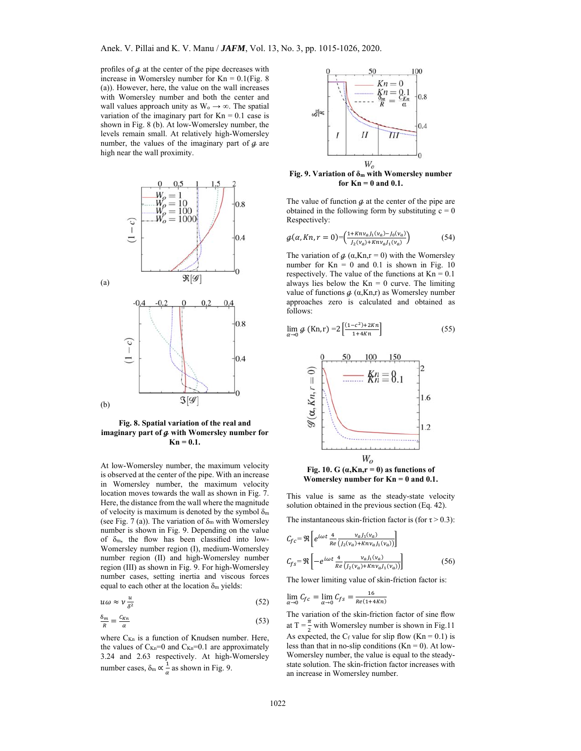profiles of  $\phi$  at the center of the pipe decreases with increase in Womersley number for  $Kn = 0.1$  (Fig. 8) (a)). However, here, the value on the wall increases with Womersley number and both the center and wall values approach unity as  $W_0 \rightarrow \infty$ . The spatial variation of the imaginary part for  $Kn = 0.1$  case is shown in Fig. 8 (b). At low-Womersley number, the levels remain small. At relatively high-Womersley number, the values of the imaginary part of  $\phi$  are high near the wall proximity.



**Fig. 8. Spatial variation of the real and**  imaginary part of  $q$  with Womersley number for  $Kn = 0.1$ .

At low-Womersley number, the maximum velocity is observed at the center of the pipe. With an increase in Womersley number, the maximum velocity location moves towards the wall as shown in Fig. 7. Here, the distance from the wall where the magnitude of velocity is maximum is denoted by the symbol  $\delta_{\rm m}$ (see Fig. 7 (a)). The variation of  $\delta_m$  with Womersley number is shown in Fig. 9. Depending on the value of δm, the flow has been classified into low-Womersley number region (I), medium-Womersley number region (II) and high-Womersley number region (III) as shown in Fig. 9. For high-Womersley number cases, setting inertia and viscous forces equal to each other at the location  $\delta_m$  yields:

$$
u\omega \approx \nu \frac{u}{\delta^2} \tag{52}
$$

$$
\frac{\delta_m}{R} = \frac{c_{Kn}}{a} \tag{53}
$$

where  $C_{Kn}$  is a function of Knudsen number. Here, the values of  $C_{Kn}=0$  and  $C_{Kn}=0.1$  are approximately 3.24 and 2.63 respectively. At high-Womersley number cases,  $\delta_{\rm m} \propto \frac{1}{\alpha}$  as shown in Fig. 9.



**Fig. 9. Variation of δm with Womersley number for Kn = 0 and 0.1.** 

The value of function  $\boldsymbol{g}$  at the center of the pipe are obtained in the following form by substituting  $c = 0$ Respectively:

$$
g(\alpha, Kn, r = 0) = \left(\frac{1 + Knv_{a}J_{1}(v_{a}) - J_{0}(v_{a})}{J_{2}(v_{a}) + Knv_{a}J_{1}(v_{a})}\right)
$$
(54)

The variation of  $\phi$  ( $\alpha$ ,Kn,r = 0) with the Womersley number for  $Kn = 0$  and 0.1 is shown in Fig. 10 respectively. The value of the functions at  $Kn = 0.1$ always lies below the  $Kn = 0$  curve. The limiting value of functions  $\phi$  ( $\alpha$ ,Kn,r) as Womersley number approaches zero is calculated and obtained as follows:

$$
\lim_{\alpha \to 0} \mathcal{G} \left( Kn, r \right) = 2 \left[ \frac{(1 - c^2) + 2Kn}{1 + 4Kn} \right] \tag{55}
$$



Fig. 10. G  $(a,Kn,r=0)$  as functions of **Womersley number for Kn = 0 and 0.1.** 

This value is same as the steady-state velocity solution obtained in the previous section (Eq. 42).

The instantaneous skin-friction factor is (for  $\tau > 0.3$ ):

$$
C_{fc} = \Re \left[ e^{i\omega t} \frac{4}{Re} \frac{v_a J_1(v_a)}{(J_2(v_a) + Knv_a J_1(v_a))} \right]
$$
  

$$
C_{fs} = \Re \left[ -e^{i\omega t} \frac{4}{Re} \frac{v_a J_1(v_a)}{(J_2(v_a) + Knv_a J_1(v_a))} \right]
$$
 (56)

The lower limiting value of skin-friction factor is:

i,

$$
\lim_{\alpha \to 0} C_{fc} = \lim_{\alpha \to 0} C_{fs} = \frac{16}{Re(1 + 4Kn)}
$$

The variation of the skin-friction factor of sine flow at T =  $\frac{\pi}{2}$  with Womersley number is shown in Fig.11 As expected, the  $C_f$  value for slip flow (Kn = 0.1) is less than that in no-slip conditions  $(Kn = 0)$ . At low-Womersley number, the value is equal to the steadystate solution. The skin-friction factor increases with an increase in Womersley number.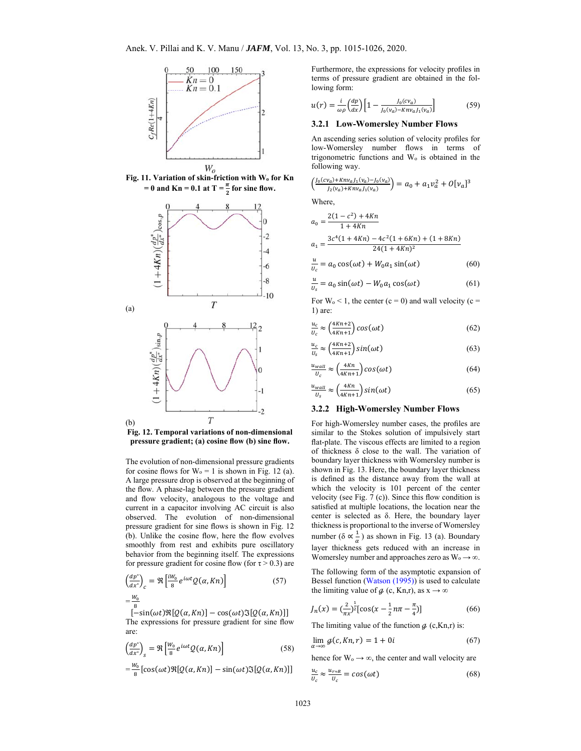

**Fig. 11. Variation of skin-friction with Wo for Kn**   $= 0$  and  $\text{Kn} = 0.1$  at  $T = \frac{\pi}{2}$  for sine flow.



**Fig. 12. Temporal variations of non-dimensional pressure gradient; (a) cosine flow (b) sine flow.** 

The evolution of non-dimensional pressure gradients for cosine flows for  $W_0 = 1$  is shown in Fig. 12 (a). A large pressure drop is observed at the beginning of the flow. A phase-lag between the pressure gradient and flow velocity, analogous to the voltage and current in a capacitor involving AC circuit is also observed. The evolution of non-dimensional pressure gradient for sine flows is shown in Fig. 12 (b). Unlike the cosine flow, here the flow evolves smoothly from rest and exhibits pure oscillatory behavior from the beginning itself. The expressions for pressure gradient for cosine flow (for  $\tau > 0.3$ ) are

$$
\left(\frac{dp^*}{dx^*}\right)_c = \Re\left[\frac{iW_0}{8}e^{i\omega t}Q(\alpha, Kn)\right]
$$
\n
$$
=\frac{W_0}{2}
$$
\n(57)

଼  $[-\sin(\omega t)\Re[Q(\alpha, Kn)] - \cos(\omega t)\Im[Q(\alpha, Kn)]]$ The expressions for pressure gradient for sine flow are:

$$
\left(\frac{dp^*}{dx^*}\right)_s = \Re \left[\frac{W_0}{8} e^{i\omega t} Q(\alpha, Kn)\right]
$$
\n(58)

$$
=\frac{W_0}{8}[\cos(\omega t)\Re[Q(\alpha, Kn)] - \sin(\omega t)\Im[Q(\alpha, Kn)]]
$$

Furthermore, the expressions for velocity profiles in terms of pressure gradient are obtained in the following form:

$$
u(r) = \frac{i}{\omega \rho} \left(\frac{dp}{dx}\right) \left[1 - \frac{J_0(cv_a)}{J_0(v_a) - Knv_a J_1(v_a)}\right]
$$
(59)

## **3.2.1 Low-Womersley Number Flows**

An ascending series solution of velocity profiles for low-Womersley number flows in terms of trigonometric functions and Wo is obtained in the following way.

$$
\left(\frac{J_0(cv_a)+Knv_aJ_1(v_a)-J_0(v_a)}{J_2(v_a)+Knv_aJ_1(v_a)}\right)=a_0+a_1v_a^2+O[v_a]^3
$$

Where,

$$
a_0 = \frac{2(1 - c^2) + 4Kn}{1 + 4Kn}
$$
  

$$
a_1 = \frac{3c^4(1 + 4Kn) - 4c^2(1 + 6Kn) + (1 + 8Kn)}{24(1 + 4Kn)^2}
$$

$$
\frac{u}{v_c} = a_0 \cos(\omega t) + W_0 a_1 \sin(\omega t)
$$
 (60)

$$
\frac{u}{v_s} = a_0 \sin(\omega t) - W_0 a_1 \cos(\omega t) \tag{61}
$$

For  $W_0 < 1$ , the center  $(c = 0)$  and wall velocity  $(c = 1)$ 1) are:

$$
\frac{u_c}{u_c} \approx \left(\frac{4Kn+2}{4Kn+1}\right)\cos(\omega t)
$$
\n(62)

$$
\frac{u_c}{v_s} \approx \left(\frac{4Kn+2}{4Kn+1}\right) \sin(\omega t) \tag{63}
$$

$$
\frac{u_{wall}}{U_c} \approx \left(\frac{4Kn}{4Kn+1}\right) \cos(\omega t) \tag{64}
$$

$$
\frac{u_{wall}}{U_s} \approx \left(\frac{4Kn}{4Kn+1}\right) \sin(\omega t) \tag{65}
$$

## **3.2.2 High-Womersley Number Flows**

For high-Womersley number cases, the profiles are similar to the Stokes solution of impulsively start flat-plate. The viscous effects are limited to a region of thickness δ close to the wall. The variation of boundary layer thickness with Womersley number is shown in Fig. 13. Here, the boundary layer thickness is defined as the distance away from the wall at which the velocity is 101 percent of the center velocity (see Fig. 7 (c)). Since this flow condition is satisfied at multiple locations, the location near the center is selected as δ. Here, the boundary layer thickness is proportional to the inverse of Womersley number ( $\delta \propto \frac{1}{\alpha}$ ) as shown in Fig. 13 (a). Boundary layer thickness gets reduced with an increase in Womersley number and approaches zero as  $W_0 \rightarrow \infty$ .

The following form of the asymptotic expansion of Bessel function (Watson (1995)) is used to calculate the limiting value of  $\phi$  (c, Kn,r), as  $x \to \infty$ 

$$
J_n(x) = \left(\frac{2}{\pi x}\right)^{\frac{1}{2}} [\cos(x - \frac{1}{2}n\pi - \frac{\pi}{4})] \tag{66}
$$

The limiting value of the function  $\phi$  (c, Kn,r) is:

$$
\lim_{\alpha \to \infty} \mathcal{g}(c, Kn, r) = 1 + 0i \tag{67}
$$

hence for  $W_0 \rightarrow \infty$ , the center and wall velocity are

$$
\frac{u_c}{u_c} \approx \frac{u_{r \approx R}}{u_c} = \cos(\omega t) \tag{68}
$$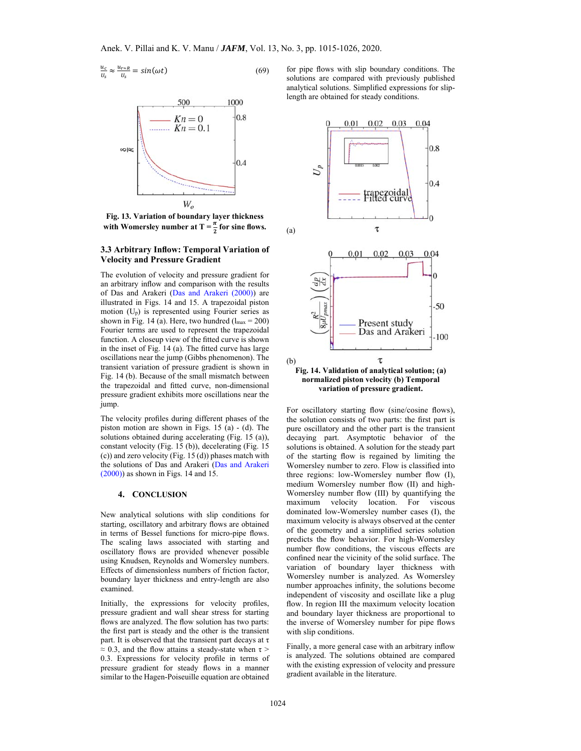$$
\frac{u_c}{v_s} \approx \frac{u_{r \approx R}}{v_s} = \sin(\omega t) \tag{69}
$$



**Fig. 13. Variation of boundary layer thickness**  with Womersley number at  $T = \frac{\pi}{2}$  for sine flows.

## **3.3 Arbitrary Inflow: Temporal Variation of Velocity and Pressure Gradient**

The evolution of velocity and pressure gradient for an arbitrary inflow and comparison with the results of Das and Arakeri (Das and Arakeri (2000)) are illustrated in Figs. 14 and 15. A trapezoidal piston motion (Up) is represented using Fourier series as shown in Fig. 14 (a). Here, two hundred  $(l_{max} = 200)$ Fourier terms are used to represent the trapezoidal function. A closeup view of the fitted curve is shown in the inset of Fig. 14 (a). The fitted curve has large oscillations near the jump (Gibbs phenomenon). The transient variation of pressure gradient is shown in Fig. 14 (b). Because of the small mismatch between the trapezoidal and fitted curve, non-dimensional pressure gradient exhibits more oscillations near the jump.

The velocity profiles during different phases of the piston motion are shown in Figs. 15 (a) - (d). The solutions obtained during accelerating (Fig. 15 (a)), constant velocity (Fig. 15 (b)), decelerating (Fig. 15 (c)) and zero velocity (Fig. 15 (d)) phases match with the solutions of Das and Arakeri (Das and Arakeri (2000)) as shown in Figs. 14 and 15.

#### **4. CONCLUSION**

New analytical solutions with slip conditions for starting, oscillatory and arbitrary flows are obtained in terms of Bessel functions for micro-pipe flows. The scaling laws associated with starting and oscillatory flows are provided whenever possible using Knudsen, Reynolds and Womersley numbers. Effects of dimensionless numbers of friction factor, boundary layer thickness and entry-length are also examined.

Initially, the expressions for velocity profiles, pressure gradient and wall shear stress for starting flows are analyzed. The flow solution has two parts: the first part is steady and the other is the transient part. It is observed that the transient part decays at  $\tau$  $\approx$  0.3, and the flow attains a steady-state when  $\tau$  > 0.3. Expressions for velocity profile in terms of pressure gradient for steady flows in a manner similar to the Hagen-Poiseuille equation are obtained

for pipe flows with slip boundary conditions. The solutions are compared with previously published analytical solutions. Simplified expressions for sliplength are obtained for steady conditions.



For oscillatory starting flow (sine/cosine flows), the solution consists of two parts: the first part is pure oscillatory and the other part is the transient decaying part. Asymptotic behavior of the solutions is obtained. A solution for the steady part of the starting flow is regained by limiting the Womersley number to zero. Flow is classified into three regions: low-Womersley number flow (I), medium Womersley number flow (II) and high-Womersley number flow (III) by quantifying the maximum velocity location. For viscous dominated low-Womersley number cases (I), the maximum velocity is always observed at the center of the geometry and a simplified series solution predicts the flow behavior. For high-Womersley number flow conditions, the viscous effects are confined near the vicinity of the solid surface. The variation of boundary layer thickness with Womersley number is analyzed. As Womersley number approaches infinity, the solutions become independent of viscosity and oscillate like a plug flow. In region III the maximum velocity location and boundary layer thickness are proportional to the inverse of Womersley number for pipe flows with slip conditions.

Finally, a more general case with an arbitrary inflow is analyzed. The solutions obtained are compared with the existing expression of velocity and pressure gradient available in the literature.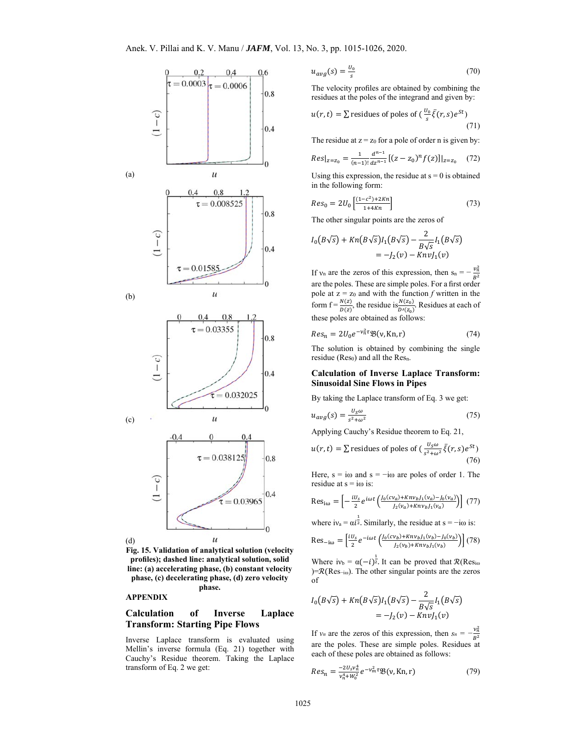

**Fig. 15. Validation of analytical solution (velocity profiles); dashed line: analytical solution, solid line: (a) accelerating phase, (b) constant velocity phase, (c) decelerating phase, (d) zero velocity phase.** 

#### **APPENDIX**

# **Calculation of Inverse Laplace Transform: Starting Pipe Flows**

Inverse Laplace transform is evaluated using Mellin's inverse formula (Eq. 21) together with Cauchy's Residue theorem. Taking the Laplace transform of Eq. 2 we get:

$$
u_{avg}(s) = \frac{u_o}{s} \tag{70}
$$

The velocity profiles are obtained by combining the residues at the poles of the integrand and given by:

$$
u(r,t) = \sum \text{residues of poles of } \left(\frac{v_0}{s}\bar{\xi}(r,s)e^{St}\right)
$$
\n(71)

The residue at  $z = z_0$  for a pole of order n is given by:

$$
Res|_{z=z_0} = \frac{1}{(n-1)!} \frac{d^{n-1}}{dz^{n-1}} [(z-z_0)^n f(z)]|_{z=z_0} \quad (72)
$$

Using this expression, the residue at  $s = 0$  is obtained in the following form:

$$
Res_0 = 2U_0 \left[ \frac{(1 - c^2) + 2Kn}{1 + 4Kn} \right] \tag{73}
$$

The other singular points are the zeros of

$$
I_0(B\sqrt{s}) + Kn(B\sqrt{s})I_1(B\sqrt{s}) - \frac{2}{B\sqrt{s}}I_1(B\sqrt{s})
$$
  
=  $-J_2(v) - KnvJ_1(v)$ 

If  $v_n$  are the zeros of this expression, then  $s_n = -\frac{v_n^2}{2}$  $B<sup>2</sup>$ are the poles. These are simple poles. For a first order pole at  $z = z_0$  and with the function *f* written in the form  $f = \frac{N(z)}{D(z)}$ , the residue is  $\frac{N(z_0)}{D'(z_0)}$ . Residues at each of these poles are obtained as follows:

$$
Res_n = 2U_0 e^{-\nu_n^2 \tau} \mathfrak{B}(\nu, Kn, r) \tag{74}
$$

The solution is obtained by combining the single residue ( $Res<sub>0</sub>$ ) and all the  $Res<sub>n</sub>$ .

## **Calculation of Inverse Laplace Transform: Sinusoidal Sine Flows in Pipes**

By taking the Laplace transform of Eq. 3 we get:

$$
u_{avg}(s) = \frac{u_{s\omega}}{s^2 + \omega^2} \tag{75}
$$

Applying Cauchy's Residue theorem to Eq. 21,

$$
u(r,t) = \sum \text{residues of poles of } \left(\frac{u_{s\omega}}{s^{2} + \omega^{2}} \bar{\xi}(r,s)e^{St}\right)
$$
\n(76)

Here,  $s = i\omega$  and  $s = -i\omega$  are poles of order 1. The residue at  $s = i\omega$  is:

$$
\text{Res}_{\text{i}\omega} = \left[ -\frac{iv_s}{2} e^{i\omega t} \left( \frac{J_0(cv_a) + Knv_b J_1(v_a) - J_0(v_a)}{J_2(v_a) + Knv_b J_1(v_a)} \right) \right] (77)
$$

where  $iv_a = \alpha i^{\frac{1}{2}}$ . Similarly, the residue at s = -iω is:

$$
\text{Res}_{-i\omega} = \left[\frac{iU_s}{2}e^{-i\omega t} \left(\frac{J_0(c\nu_b) + Kn\nu_b J_1(\nu_b) - J_0(\nu_b)}{J_2(\nu_b) + Kn\nu_b J_1(\nu_b)}\right)\right] (78)
$$

Where  $iv_b = \alpha(-i)^{\frac{1}{2}}$ . It can be proved that  $\mathcal{R}(Res_{i\omega})$ )= $\mathcal{R}$ (Res−iω). The other singular points are the zeros of

$$
I_0(B\sqrt{s}) + Kn(B\sqrt{s})I_1(B\sqrt{s}) - \frac{2}{B\sqrt{s}}I_1(B\sqrt{s})
$$
  
=  $-I_2(v) - KnvI_1(v)$ 

If *v<sub>n</sub>* are the zeros of this expression, then  $s_n = -\frac{v_n^2}{n^2}$  $B<sup>2</sup>$ are the poles. These are simple poles. Residues at each of these poles are obtained as follows:

$$
Res_n = \frac{-2U_s v_n^4}{v_n^4 + W_0^2} e^{-v_m^2 \tau} \mathfrak{B}(v, Kn, r)
$$
 (79)